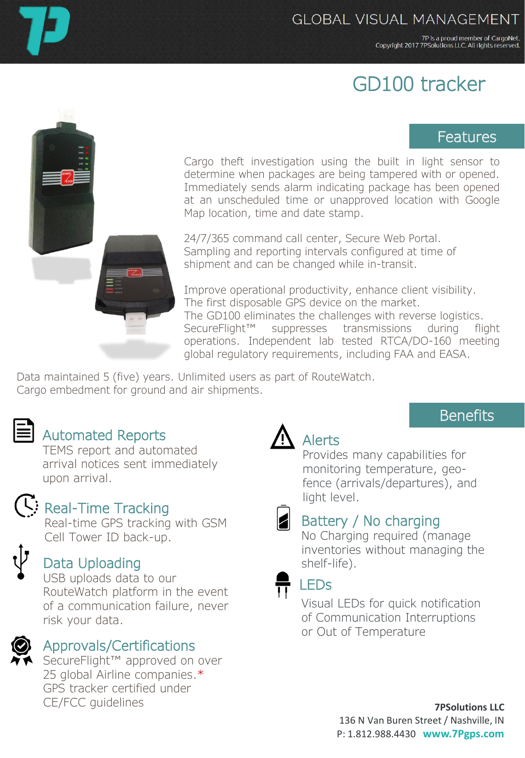7P is a proud member of CargoNet. Copyright 2017 7PSolutions LLC. All rights reserved.

# GD100 tracker

### Features

**Benefits** 

Cargo theft investigation using the built in light sensor to determine when packages are being tampered with or opened. Immediately sends alarm indicating package has been opened at an unscheduled time or unapproved location with Google Map location, time and date stamp.

24/7/365 command call center, Secure Web Portal. Sampling and reporting intervals configured at time of shipment and can be changed while in-transit.

Improve operational productivity, enhance client visibility. The first disposable GPS device on the market. The GD100 eliminates the challenges with reverse logistics. SecureFlight™ suppresses transmissions during flight operations. Independent lab tested RTCA/DO-160 meeting global regulatory requirements, including FAA and EASA.

Data maintained 5 (five) years. Unlimited users as part of RouteWatch. Cargo embedment for ground and air shipments.



## Automated Reports

TEMS report and automated arrival notices sent immediately upon arrival.



## Real-Time Tracking

Real-time GPS tracking with GSM Cell Tower ID back-up.

## Data Uploading

USB uploads data to our RouteWatch platform in the event of a communication failure, never risk your data.



#### Approvals/Certifications

SecureFlight™ approved on over 25 global Airline companies.\* GPS tracker certified under CE/FCC guidelines

## Alerts

Provides many capabilities for monitoring temperature, geofence (arrivals/departures), and light level.

#### Battery / No charging

No Charging required (manage inventories without managing the shelf-life).



#### LEDs

Visual LEDs for quick notification of Communication Interruptions or Out of Temperature